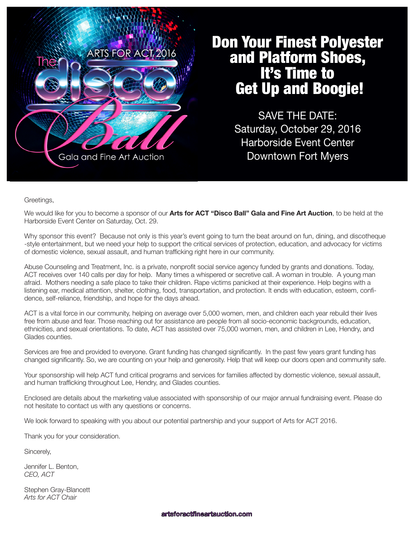

# Don Your Finest Polyester and Platform Shoes, It's Time to Get Up and Boogie!

SAVE THE DATE: Saturday, October 29, 2016 Harborside Event Center Downtown Fort Myers

Greetings,

We would like for you to become a sponsor of our **Arts for ACT "Disco Ball" Gala and Fine Art Auction**, to be held at the Harborside Event Center on Saturday, Oct. 29.

Why sponsor this event? Because not only is this year's event going to turn the beat around on fun, dining, and discotheque -style entertainment, but we need your help to support the critical services of protection, education, and advocacy for victims of domestic violence, sexual assault, and human trafficking right here in our community.

Abuse Counseling and Treatment, Inc. is a private, nonprofit social service agency funded by grants and donations. Today, ACT receives over 140 calls per day for help. Many times a whispered or secretive call. A woman in trouble. A young man afraid. Mothers needing a safe place to take their children. Rape victims panicked at their experience. Help begins with a listening ear, medical attention, shelter, clothing, food, transportation, and protection. It ends with education, esteem, confidence, self-reliance, friendship, and hope for the days ahead.

ACT is a vital force in our community, helping on average over 5,000 women, men, and children each year rebuild their lives free from abuse and fear. Those reaching out for assistance are people from all socio-economic backgrounds, education, ethnicities, and sexual orientations. To date, ACT has assisted over 75,000 women, men, and children in Lee, Hendry, and Glades counties.

Services are free and provided to everyone. Grant funding has changed significantly. In the past few years grant funding has changed significantly. So, we are counting on your help and generosity. Help that will keep our doors open and community safe.

Your sponsorship will help ACT fund critical programs and services for families affected by domestic violence, sexual assault, and human trafficking throughout Lee, Hendry, and Glades counties.

Enclosed are details about the marketing value associated with sponsorship of our major annual fundraising event. Please do not hesitate to contact us with any questions or concerns.

We look forward to speaking with you about our potential partnership and your support of Arts for ACT 2016.

Thank you for your consideration.

Sincerely,

Jennifer L. Benton, *CEO, ACT*

Stephen Gray-Blancett *Arts for ACT Chair*